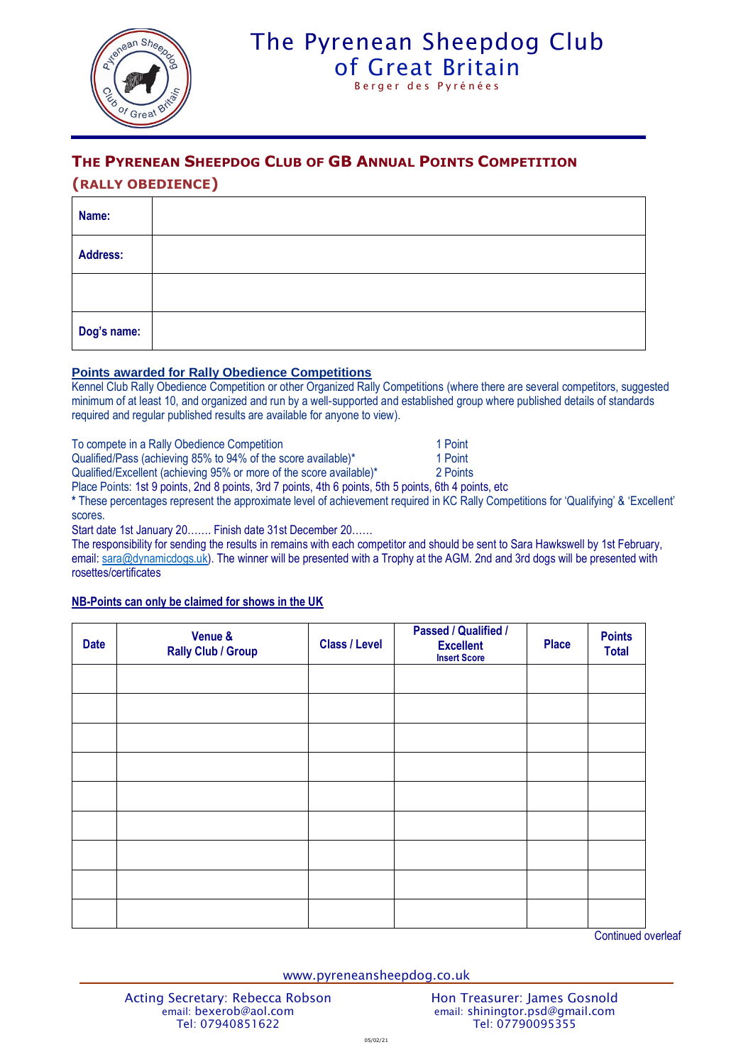

## The Pyrenean Sheepdog Club [of Great Britain](http://www.pyreneansheepdog.co.uk/index.htm) Berger des Pyrénées

### **THE PYRENEAN SHEEPDOG CLUB OF GB ANNUAL POINTS COMPETITION**

### **(RALLY OBEDIENCE)**

| Name:       |  |
|-------------|--|
| Address:    |  |
|             |  |
| Dog's name: |  |

#### **Points awarded for Rally Obedience Competitions**

Kennel Club Rally Obedience Competition or other Organized Rally Competitions (where there are several competitors, suggested minimum of at least 10, and organized and run by a well-supported and established group where published details of standards required and regular published results are available for anyone to view).

To compete in a Rally Obedience Competition 1 Point

Qualified/Pass (achieving 85% to 94% of the score available)\* 1 Point

Qualified/Excellent (achieving 95% or more of the score available)\* 2 Points

Place Points: 1st 9 points, 2nd 8 points, 3rd 7 points, 4th 6 points, 5th 5 points, 6th 4 points, etc

**\*** These percentages represent the approximate level of achievement required in KC Rally Competitions for 'Qualifying' & 'Excellent' scores.

Start date 1st January 20……. Finish date 31st December 20……

The responsibility for sending the results in remains with each competitor and should be sent to Sara Hawkswell by 1st February, email: [sara@dynamicdogs.uk\)](mailto:sara@dynamicdogs.uk). The winner will be presented with a Trophy at the AGM. 2nd and 3rd dogs will be presented with rosettes/certificates

#### **NB-Points can only be claimed for shows in the UK**

| <b>Date</b> | Venue &<br><b>Rally Club / Group</b> | <b>Class / Level</b> | <b>Passed / Qualified /</b><br><b>Excellent</b><br><b>Insert Score</b> | <b>Place</b> | <b>Points</b><br><b>Total</b> |
|-------------|--------------------------------------|----------------------|------------------------------------------------------------------------|--------------|-------------------------------|
|             |                                      |                      |                                                                        |              |                               |
|             |                                      |                      |                                                                        |              |                               |
|             |                                      |                      |                                                                        |              |                               |
|             |                                      |                      |                                                                        |              |                               |
|             |                                      |                      |                                                                        |              |                               |
|             |                                      |                      |                                                                        |              |                               |
|             |                                      |                      |                                                                        |              |                               |
|             |                                      |                      |                                                                        |              |                               |
|             |                                      |                      |                                                                        |              |                               |

Continued overleaf

www.pyreneansheepdog.co.uk